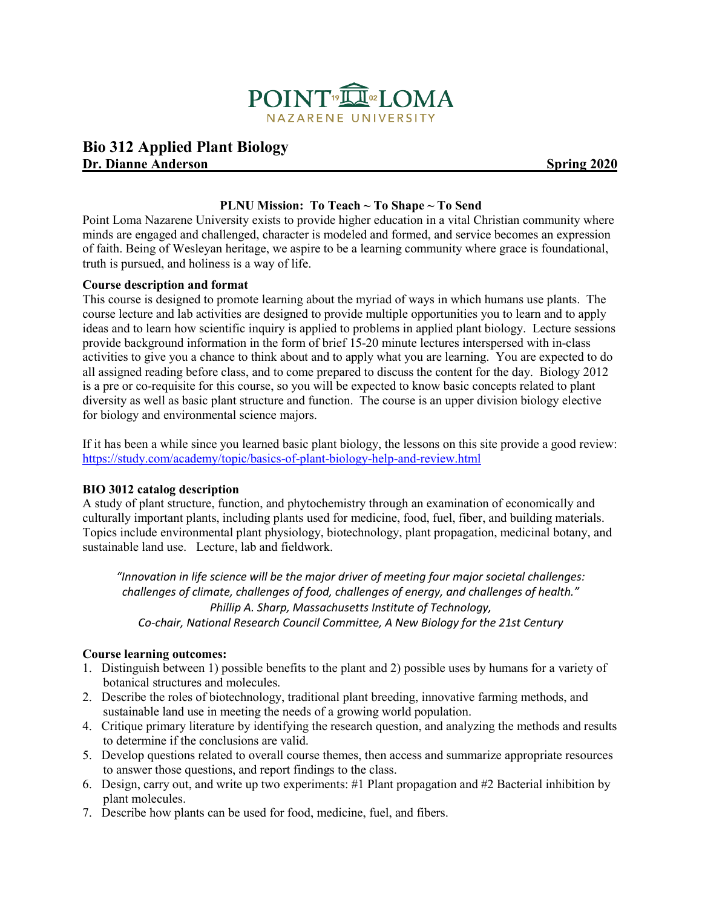

## **Bio 312 Applied Plant Biology Dr. Dianne Anderson** Spring 2020

#### **PLNU Mission: To Teach ~ To Shape ~ To Send**

Point Loma Nazarene University exists to provide higher education in a vital Christian community where minds are engaged and challenged, character is modeled and formed, and service becomes an expression of faith. Being of Wesleyan heritage, we aspire to be a learning community where grace is foundational, truth is pursued, and holiness is a way of life.

#### **Course description and format**

This course is designed to promote learning about the myriad of ways in which humans use plants. The course lecture and lab activities are designed to provide multiple opportunities you to learn and to apply ideas and to learn how scientific inquiry is applied to problems in applied plant biology. Lecture sessions provide background information in the form of brief 15-20 minute lectures interspersed with in-class activities to give you a chance to think about and to apply what you are learning. You are expected to do all assigned reading before class, and to come prepared to discuss the content for the day. Biology 2012 is a pre or co-requisite for this course, so you will be expected to know basic concepts related to plant diversity as well as basic plant structure and function. The course is an upper division biology elective for biology and environmental science majors.

If it has been a while since you learned basic plant biology, the lessons on this site provide a good review: <https://study.com/academy/topic/basics-of-plant-biology-help-and-review.html>

#### **BIO 3012 catalog description**

A study of plant structure, function, and phytochemistry through an examination of economically and culturally important plants, including plants used for medicine, food, fuel, fiber, and building materials. Topics include environmental plant physiology, biotechnology, plant propagation, medicinal botany, and sustainable land use. Lecture, lab and fieldwork.

*"Innovation in life science will be the major driver of meeting four major societal challenges: challenges of climate, challenges of food, challenges of energy, and challenges of health." Phillip A. Sharp, Massachusetts Institute of Technology, Co-chair, National Research Council Committee, A New Biology for the 21st Century*

#### **Course learning outcomes:**

- 1. Distinguish between 1) possible benefits to the plant and 2) possible uses by humans for a variety of botanical structures and molecules.
- 2. Describe the roles of biotechnology, traditional plant breeding, innovative farming methods, and sustainable land use in meeting the needs of a growing world population.
- 4. Critique primary literature by identifying the research question, and analyzing the methods and results to determine if the conclusions are valid.
- 5. Develop questions related to overall course themes, then access and summarize appropriate resources to answer those questions, and report findings to the class.
- 6. Design, carry out, and write up two experiments: #1 Plant propagation and #2 Bacterial inhibition by plant molecules.
- 7. Describe how plants can be used for food, medicine, fuel, and fibers.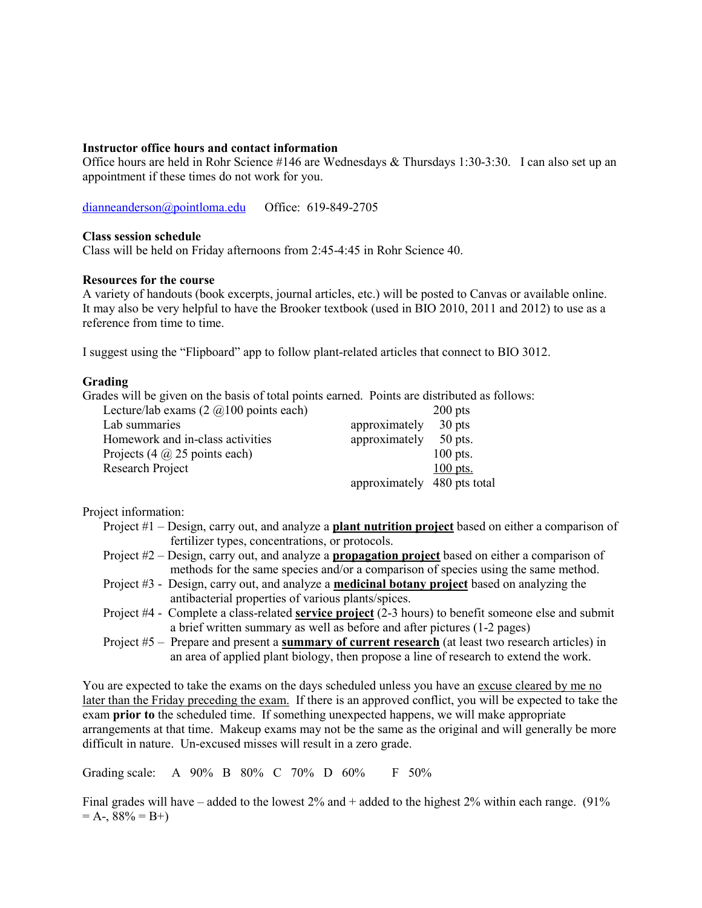#### **Instructor office hours and contact information**

Office hours are held in Rohr Science #146 are Wednesdays & Thursdays 1:30-3:30. I can also set up an appointment if these times do not work for you.

[dianneanderson@pointloma.edu](mailto:dianneanderson@pointloma.edu) Office: 619-849-2705

#### **Class session schedule**

Class will be held on Friday afternoons from 2:45-4:45 in Rohr Science 40.

### **Resources for the course**

A variety of handouts (book excerpts, journal articles, etc.) will be posted to Canvas or available online. It may also be very helpful to have the Brooker textbook (used in BIO 2010, 2011 and 2012) to use as a reference from time to time.

I suggest using the "Flipboard" app to follow plant-related articles that connect to BIO 3012.

#### **Grading**

Grades will be given on the basis of total points earned. Points are distributed as follows:

| Lecture/lab exams $(2 \text{ } @100 \text{ points each})$ |                             | $200$ pts  |
|-----------------------------------------------------------|-----------------------------|------------|
| Lab summaries                                             | approximately               | $30$ pts   |
| Homework and in-class activities                          | approximately               | $50$ pts.  |
| Projects $(4 \omega 25$ points each)                      |                             | $100$ pts. |
| Research Project                                          |                             | $100$ pts. |
|                                                           | approximately 480 pts total |            |

Project information:

- Project #1 Design, carry out, and analyze a **plant nutrition project** based on either a comparison of fertilizer types, concentrations, or protocols.
- Project #2 Design, carry out, and analyze a **propagation project** based on either a comparison of methods for the same species and/or a comparison of species using the same method.
- Project #3 Design, carry out, and analyze a **medicinal botany project** based on analyzing the antibacterial properties of various plants/spices.
- Project #4 Complete a class-related **service project** (2-3 hours) to benefit someone else and submit a brief written summary as well as before and after pictures (1-2 pages)
- Project #5 Prepare and present a **summary of current research** (at least two research articles) in an area of applied plant biology, then propose a line of research to extend the work.

You are expected to take the exams on the days scheduled unless you have an excuse cleared by me no later than the Friday preceding the exam. If there is an approved conflict, you will be expected to take the exam **prior to** the scheduled time. If something unexpected happens, we will make appropriate arrangements at that time. Makeup exams may not be the same as the original and will generally be more difficult in nature. Un-excused misses will result in a zero grade.

Grading scale: A 90% B 80% C 70% D 60% F 50%

Final grades will have – added to the lowest  $2\%$  and + added to the highest  $2\%$  within each range. (91%)  $= A - 88\% = B +$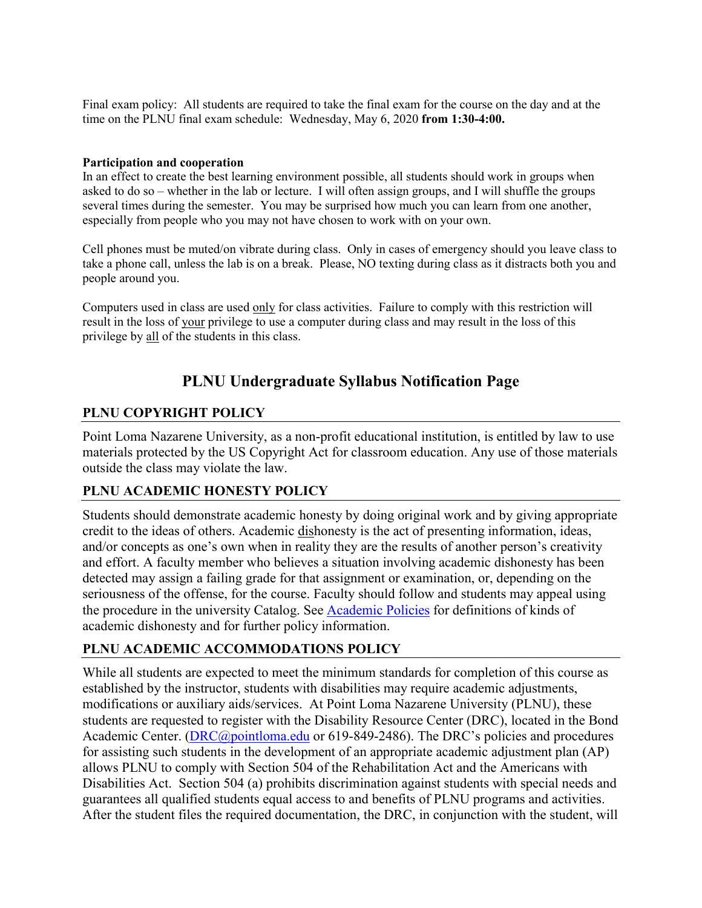Final exam policy: All students are required to take the final exam for the course on the day and at the time on the PLNU final exam schedule: Wednesday, May 6, 2020 **from 1:30-4:00.**

#### **Participation and cooperation**

In an effect to create the best learning environment possible, all students should work in groups when asked to do so – whether in the lab or lecture. I will often assign groups, and I will shuffle the groups several times during the semester. You may be surprised how much you can learn from one another, especially from people who you may not have chosen to work with on your own.

Cell phones must be muted/on vibrate during class. Only in cases of emergency should you leave class to take a phone call, unless the lab is on a break. Please, NO texting during class as it distracts both you and people around you.

Computers used in class are used only for class activities. Failure to comply with this restriction will result in the loss of your privilege to use a computer during class and may result in the loss of this privilege by all of the students in this class.

# **PLNU Undergraduate Syllabus Notification Page**

## **PLNU COPYRIGHT POLICY**

Point Loma Nazarene University, as a non-profit educational institution, is entitled by law to use materials protected by the US Copyright Act for classroom education. Any use of those materials outside the class may violate the law.

## **PLNU ACADEMIC HONESTY POLICY**

Students should demonstrate academic honesty by doing original work and by giving appropriate credit to the ideas of others. Academic dishonesty is the act of presenting information, ideas, and/or concepts as one's own when in reality they are the results of another person's creativity and effort. A faculty member who believes a situation involving academic dishonesty has been detected may assign a failing grade for that assignment or examination, or, depending on the seriousness of the offense, for the course. Faculty should follow and students may appeal using the procedure in the university Catalog. See [Academic Policies](http://catalog.pointloma.edu/content.php?catoid=18&navoid=1278) for definitions of kinds of academic dishonesty and for further policy information.

## **PLNU ACADEMIC ACCOMMODATIONS POLICY**

While all students are expected to meet the minimum standards for completion of this course as established by the instructor, students with disabilities may require academic adjustments, modifications or auxiliary aids/services. At Point Loma Nazarene University (PLNU), these students are requested to register with the Disability Resource Center (DRC), located in the Bond Academic Center. [\(DRC@pointloma.edu](mailto:DRC@pointloma.edu) or 619-849-2486). The DRC's policies and procedures for assisting such students in the development of an appropriate academic adjustment plan (AP) allows PLNU to comply with Section 504 of the Rehabilitation Act and the Americans with Disabilities Act. Section 504 (a) prohibits discrimination against students with special needs and guarantees all qualified students equal access to and benefits of PLNU programs and activities. After the student files the required documentation, the DRC, in conjunction with the student, will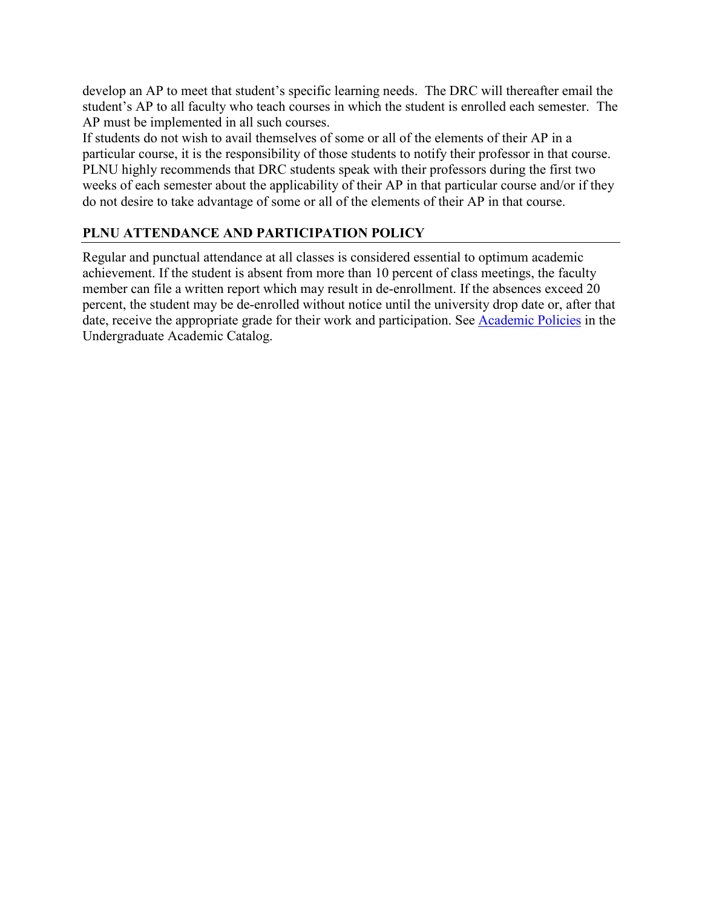develop an AP to meet that student's specific learning needs. The DRC will thereafter email the student's AP to all faculty who teach courses in which the student is enrolled each semester. The AP must be implemented in all such courses.

If students do not wish to avail themselves of some or all of the elements of their AP in a particular course, it is the responsibility of those students to notify their professor in that course. PLNU highly recommends that DRC students speak with their professors during the first two weeks of each semester about the applicability of their AP in that particular course and/or if they do not desire to take advantage of some or all of the elements of their AP in that course.

# **PLNU ATTENDANCE AND PARTICIPATION POLICY**

Regular and punctual attendance at all classes is considered essential to optimum academic achievement. If the student is absent from more than 10 percent of class meetings, the faculty member can file a written report which may result in de-enrollment. If the absences exceed 20 percent, the student may be de-enrolled without notice until the university drop date or, after that date, receive the appropriate grade for their work and participation. See [Academic Policies](http://catalog.pointloma.edu/content.php?catoid=18&navoid=1278) in the Undergraduate Academic Catalog.